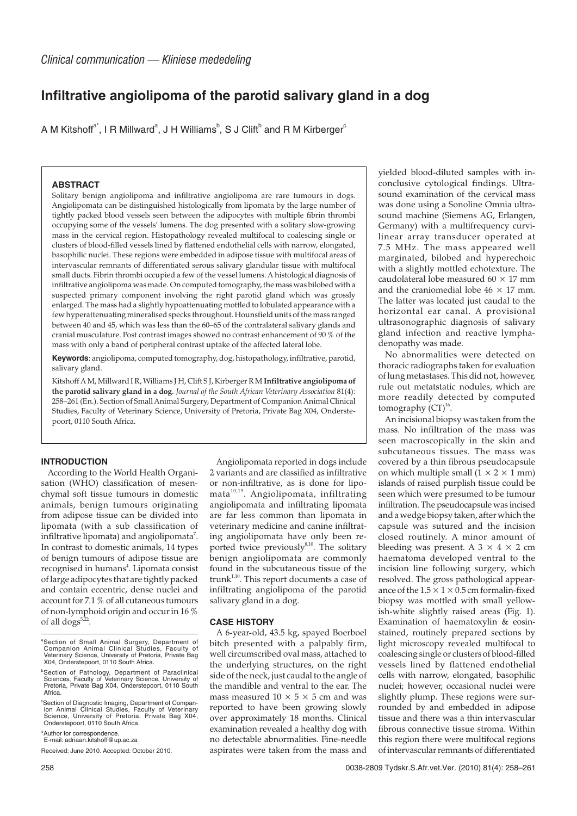# **Infiltrative angiolipoma of the parotid salivary gland in a dog**

A M Kitshoff $a^*$ , I R Millward $^a$ , J H Williams $^b$ , S J Clift $^b$  and R M Kirberger $^c$ 

## **ABSTRACT**

Solitary benign angiolipoma and infiltrative angiolipoma are rare tumours in dogs. Angiolipomata can be distinguished histologically from lipomata by the large number of tightly packed blood vessels seen between the adipocytes with multiple fibrin thrombi occupying some of the vessels' lumens. The dog presented with a solitary slow-growing mass in the cervical region. Histopathology revealed multifocal to coalescing single or clusters of blood-filled vessels lined by flattened endothelial cells with narrow, elongated, basophilic nuclei. These regions were embedded in adipose tissue with multifocal areas of intervascular remnants of differentiated serous salivary glandular tissue with multifocal small ducts. Fibrin thrombi occupied a few of the vessel lumens. A histological diagnosis of infiltrative angiolipoma was made. On computed tomography, the mass was bilobed with a suspected primary component involving the right parotid gland which was grossly enlarged. The mass had a slightly hypoattenuating mottled to lobulated appearance with a few hyperattenuating mineralised specks throughout. Hounsfield units of the mass ranged between 40 and 45, which was less than the 60–65 of the contralateral salivary glands and cranial musculature. Post contrast images showed no contrast enhancement of 90 % of the mass with only a band of peripheral contrast uptake of the affected lateral lobe.

**Keywords**: angiolipoma, computed tomography, dog, histopathology, infiltrative, parotid, salivary gland.

Kitshoff A M, Millward I R, Williams J H, Clift S J, Kirberger R M **Infiltrative angiolipoma of the parotid salivary gland in a dog.** *Journal of the South African Veterinary Association* 81(4): 258–261 (En.). Section of Small Animal Surgery, Department of Companion Animal Clinical Studies, Faculty of Veterinary Science, University of Pretoria, Private Bag X04, Onderstepoort, 0110 South Africa.

#### **INTRODUCTION**

According to the World Health Organisation (WHO) classification of mesenchymal soft tissue tumours in domestic animals, benign tumours originating from adipose tissue can be divided into lipomata (with a sub classification of infiltrative lipomata) and angiolipomata $^7$ . In contrast to domestic animals, 14 types of benign tumours of adipose tissue are recognised in humans<sup>4</sup>. Lipomata consist of large adipocytes that are tightly packed and contain eccentric, dense nuclei and account for 7.1 % of all cutaneous tumours of non-lymphoid origin and occur in 16 % of all dogs $5,22$ .

Angiolipomata reported in dogs include 2 variants and are classified as infiltrative or non-infiltrative, as is done for lipomata<sup>10,19</sup>. Angiolipomata, infiltrating angiolipomata and infiltrating lipomata are far less common than lipomata in veterinary medicine and canine infiltrating angiolipomata have only been reported twice previously $8,10$ . The solitary benign angiolipomata are commonly found in the subcutaneous tissue of the trunk $1,10$ . This report documents a case of infiltrating angiolipoma of the parotid salivary gland in a dog.

#### **CASE HISTORY**

A 6-year-old, 43.5 kg, spayed Boerboel bitch presented with a palpably firm, well circumscribed oval mass, attached to the underlying structures, on the right side of the neck, just caudal to the angle of the mandible and ventral to the ear. The mass measured  $10 \times 5 \times 5$  cm and was reported to have been growing slowly over approximately 18 months. Clinical examination revealed a healthy dog with no detectable abnormalities. Fine-needle aspirates were taken from the mass and

yielded blood-diluted samples with inconclusive cytological findings. Ultrasound examination of the cervical mass was done using a Sonoline Omnia ultrasound machine (Siemens AG, Erlangen, Germany) with a multifrequency curvilinear array transducer operated at 7.5 MHz. The mass appeared well marginated, bilobed and hyperechoic with a slightly mottled echotexture. The caudolateral lobe measured 60  $\times$  17 mm and the craniomedial lobe  $46 \times 17$  mm. The latter was located just caudal to the horizontal ear canal. A provisional ultrasonographic diagnosis of salivary gland infection and reactive lymphadenopathy was made.

No abnormalities were detected on thoracic radiographs taken for evaluation of lung metastases. This did not, however, rule out metatstatic nodules, which are more readily detected by computed tomography  $\overline{(CT)^{16}}$ .

An incisional biopsy was taken from the mass. No infiltration of the mass was seen macroscopically in the skin and subcutaneous tissues. The mass was covered by a thin fibrous pseudocapsule on which multiple small  $(1 \times 2 \times 1 \text{ mm})$ islands of raised purplish tissue could be seen which were presumed to be tumour infiltration. The pseudocapsule was incised and a wedge biopsy taken, after which the capsule was sutured and the incision closed routinely. A minor amount of bleeding was present. A  $3 \times 4 \times 2$  cm haematoma developed ventral to the incision line following surgery, which resolved. The gross pathological appearance of the  $1.5 \times 1 \times 0.5$  cm formalin-fixed biopsy was mottled with small yellowish-white slightly raised areas (Fig. 1). Examination of haematoxylin & eosinstained, routinely prepared sections by light microscopy revealed multifocal to coalescing single or clusters of blood-filled vessels lined by flattened endothelial cells with narrow, elongated, basophilic nuclei; however, occasional nuclei were slightly plump. These regions were surrounded by and embedded in adipose tissue and there was a thin intervascular fibrous connective tissue stroma. Within this region there were multifocal regions of intervascular remnants of differentiated

a Section of Small Animal Surgery, Department of Companion Animal Clinical Studies, Faculty of Veterinary Science, University of Pretoria, Private Bag X04, Onderstepoort, 0110 South Africa.

b Section of Pathology, Department of Paraclinical Sciences, Faculty of Veterinary Science, University of Pretoria, Private Bag X04, Onderstepoort, 0110 South Africa.

c Section of Diagnostic Imaging, Department of Compan-ion Animal Clinical Studies, Faculty of Veterinary Science, University of Pretoria, Private Bag X04, Onderstepoort, 0110 South Africa.

<sup>\*</sup>Author for correspondence. E-mail: adriaan.kitshoff@up.ac.za

Received: June 2010. Accepted: October 2010.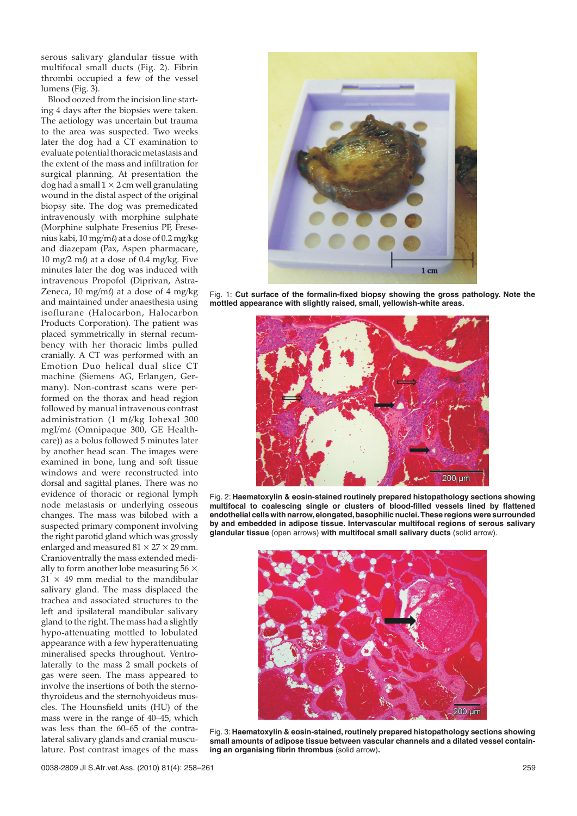serous salivary glandular tissue with multifocal small ducts (Fig. 2). Fibrin thrombi occupied a few of the vessel lumens (Fig. 3).

Blood oozed from the incision line starting 4 days after the biopsies were taken. The aetiology was uncertain but trauma to the area was suspected. Two weeks later the dog had a CT examination to evaluate potential thoracic metastasis and the extent of the mass and infiltration for surgical planning. At presentation the dog had a small  $1 \times 2$  cm well granulating wound in the distal aspect of the original biopsy site. The dog was premedicated intravenously with morphine sulphate (Morphine sulphate Fresenius PF, Fresenius kabi, 10 mg/ml) at a dose of 0.2 mg/kg and diazepam (Pax, Aspen pharmacare, 10 mg/2 m $\ell$ ) at a dose of 0.4 mg/kg. Five minutes later the dog was induced with intravenous Propofol (Diprivan, Astra-Zeneca, 10 mg/m $\ell$ ) at a dose of 4 mg/kg and maintained under anaesthesia using isoflurane (Halocarbon, Halocarbon Products Corporation). The patient was placed symmetrically in sternal recumbency with her thoracic limbs pulled cranially. A CT was performed with an Emotion Duo helical dual slice CT machine (Siemens AG, Erlangen, Germany). Non-contrast scans were performed on the thorax and head region followed by manual intravenous contrast administration (1 m $\psi$ kg Iohexal 300 mgI/m $\ell$  (Omnipaque 300, GE Healthcare)) as a bolus followed 5 minutes later by another head scan. The images were examined in bone, lung and soft tissue windows and were reconstructed into dorsal and sagittal planes. There was no evidence of thoracic or regional lymph node metastasis or underlying osseous changes. The mass was bilobed with a suspected primary component involving the right parotid gland which was grossly enlarged and measured  $81 \times 27 \times 29$  mm. Cranioventrally the mass extended medially to form another lobe measuring  $56 \times$  $31 \times 49$  mm medial to the mandibular salivary gland. The mass displaced the trachea and associated structures to the left and ipsilateral mandibular salivary gland to the right. The mass had a slightly hypo-attenuating mottled to lobulated appearance with a few hyperattenuating mineralised specks throughout. Ventrolaterally to the mass 2 small pockets of gas were seen. The mass appeared to involve the insertions of both the sternothyroideus and the sternohyoideus muscles. The Hounsfield units (HU) of the mass were in the range of 40–45, which was less than the 60–65 of the contralateral salivary glands and cranial musculature. Post contrast images of the mass



Fig. 1: **Cut surface of the formalin-fixed biopsy showing the gross pathology. Note the mottled appearance with slightly raised, small, yellowish-white areas.**



Fig. 2: **Haematoxylin & eosin-stained routinely prepared histopathology sections showing multifocal to coalescing single or clusters of blood-filled vessels lined by flattened endothelial cells with narrow,elongated,basophilic nuclei.These regions were surrounded by and embedded in adipose tissue. Intervascular multifocal regions of serous salivary glandular tissue** (open arrows) **with multifocal small salivary ducts** (solid arrow).



Fig. 3: **Haematoxylin & eosin-stained, routinely prepared histopathology sections showing small amounts of adipose tissue between vascular channels and a dilated vessel containing an organising fibrin thrombus** (solid arrow)**.**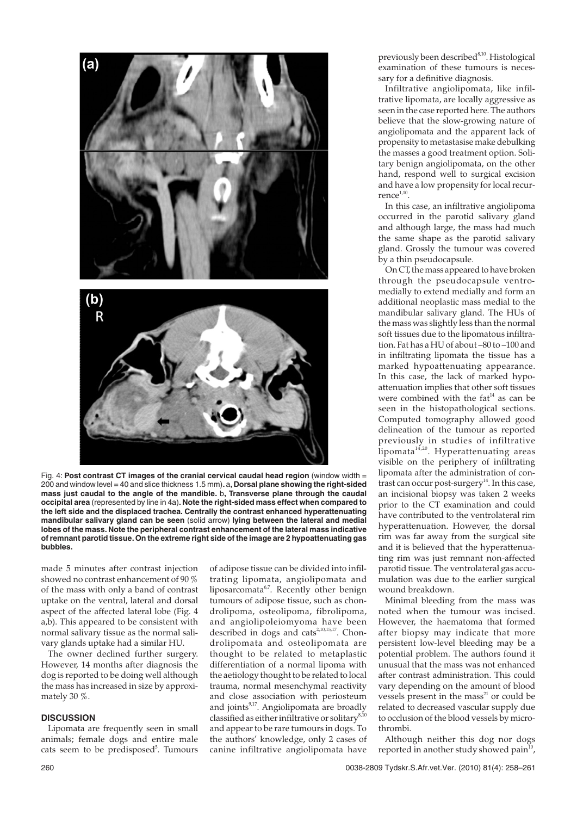

Fig. 4: **Post contrast CT images of the cranial cervical caudal head region** (window width = 200 and window level = 40 and slice thickness 1.5 mm)**.** a**, Dorsal plane showing the right-sided mass just caudal to the angle of the mandible.** b**, Transverse plane through the caudal occipital area** (represented by line in 4a)**. Note the right-sided mass effect when compared to the left side and the displaced trachea. Centrally the contrast enhanced hyperattenuating mandibular salivary gland can be seen** (solid arrow) **lying between the lateral and medial lobes of the mass. Note the peripheral contrast enhancement of the lateral mass indicative of remnant parotid tissue. On the extreme right side of the image are 2 hypoattenuating gas bubbles.**

made 5 minutes after contrast injection showed no contrast enhancement of 90 % of the mass with only a band of contrast uptake on the ventral, lateral and dorsal aspect of the affected lateral lobe (Fig. 4 a,b). This appeared to be consistent with normal salivary tissue as the normal salivary glands uptake had a similar HU.

The owner declined further surgery. However, 14 months after diagnosis the dog is reported to be doing well although the mass has increased in size by approximately 30 %.

#### **DISCUSSION**

Lipomata are frequently seen in small animals; female dogs and entire male cats seem to be predisposed<sup>5</sup>. Tumours of adipose tissue can be divided into infiltrating lipomata, angiolipomata and liposarcomata $6,7$ . Recently other benign tumours of adipose tissue, such as chondrolipoma, osteolipoma, fibrolipoma, and angiolipoleiomyoma have been described in dogs and cats<sup>2,10,15,17</sup>. Chondrolipomata and osteolipomata are thought to be related to metaplastic differentiation of a normal lipoma with the aetiology thought to be related to local trauma, normal mesenchymal reactivity and close association with periosteum and joints $9,17$ . Angiolipomata are broadly classified as either infiltrative or solitary<sup>8,1</sup> and appear to be rare tumours in dogs. To the authors' knowledge, only 2 cases of canine infiltrative angiolipomata have

previously been described $8,10$ . Histological examination of these tumours is necessary for a definitive diagnosis.

Infiltrative angiolipomata, like infiltrative lipomata, are locally aggressive as seen in the case reported here. The authors believe that the slow-growing nature of angiolipomata and the apparent lack of propensity to metastasise make debulking the masses a good treatment option. Solitary benign angiolipomata, on the other hand, respond well to surgical excision and have a low propensity for local recur $r$ ence $1,10$ .

In this case, an infiltrative angiolipoma occurred in the parotid salivary gland and although large, the mass had much the same shape as the parotid salivary gland. Grossly the tumour was covered by a thin pseudocapsule.

On CT, the mass appeared to have broken through the pseudocapsule ventromedially to extend medially and form an additional neoplastic mass medial to the mandibular salivary gland. The HUs of the mass was slightly less than the normal soft tissues due to the lipomatous infiltration. Fat has a HU of about –80 to –100 and in infiltrating lipomata the tissue has a marked hypoattenuating appearance. In this case, the lack of marked hypoattenuation implies that other soft tissues were combined with the  $fat^{14}$  as can be seen in the histopathological sections. Computed tomography allowed good delineation of the tumour as reported previously in studies of infiltrative  $\lim_{n \to \infty}$  Hyperattenuating areas visible on the periphery of infiltrating lipomata after the administration of contrast can occur post-surgery<sup>14</sup>. In this case, an incisional biopsy was taken 2 weeks prior to the CT examination and could have contributed to the ventrolateral rim hyperattenuation. However, the dorsal rim was far away from the surgical site and it is believed that the hyperattenuating rim was just remnant non-affected parotid tissue. The ventrolateral gas accumulation was due to the earlier surgical wound breakdown.

Minimal bleeding from the mass was noted when the tumour was incised. However, the haematoma that formed after biopsy may indicate that more persistent low-level bleeding may be a potential problem. The authors found it unusual that the mass was not enhanced after contrast administration. This could vary depending on the amount of blood vessels present in the mass $^{21}$  or could be related to decreased vascular supply due to occlusion of the blood vessels by microthrombi.

Although neither this dog nor dogs reported in another study showed pain $^{10}$ ,